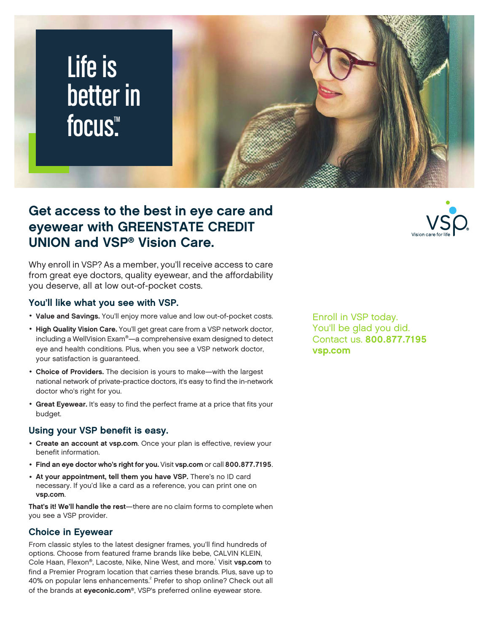# Life is better in focus<sup>™</sup>



Why enroll in VSP? As a member, you'll receive access to care from great eye doctors, quality eyewear, and the affordability you deserve, all at low out-of-pocket costs.

#### You'll like what you see with VSP.

- Value and Savings. You'll enjoy more value and low out-of-pocket costs.
- High Quality Vision Care. You'll get great care from a VSP network doctor, including a WellVision Exam®—a comprehensive exam designed to detect eye and health conditions. Plus, when you see a VSP network doctor, your satisfaction is guaranteed.
- Choice of Providers. The decision is yours to make-with the largest national network of private-practice doctors, it's easy to find the in-network doctor who's right for you.
- Great Eyewear. It's easy to find the perfect frame at a price that fits your budget.

### Using your VSP benefit is easy.

- Create an account at vsp.com. Once your plan is effective, review your benefit information.
- Find an eye doctor who's right for you. Visit vsp.com or call 800.877.7195.
- At your appointment, tell them you have VSP. There's no ID card necessary. If you'd like a card as a reference, you can print one on vsp.com.

That's it! We'll handle the rest—there are no claim forms to complete when you see a VSP provider.

### Choice in Eyewear

From classic styles to the latest designer frames, you'll find hundreds of options. Choose from featured frame brands like bebe, CALVIN KLEIN, Cole Haan, Flexon®, Lacoste, Nike, Nine West, and more.<sup>1</sup> Visit **vsp.com** to find a Premier Program location that carries these brands. Plus, save up to 40% on popular lens enhancements. $^2$  Prefer to shop online? Check out all of the brands at eyeconic.com®, VSP's preferred online eyewear store.

Enroll in VSP today. You'll be glad you did. Contact us. 800.877.7195 vsp.com